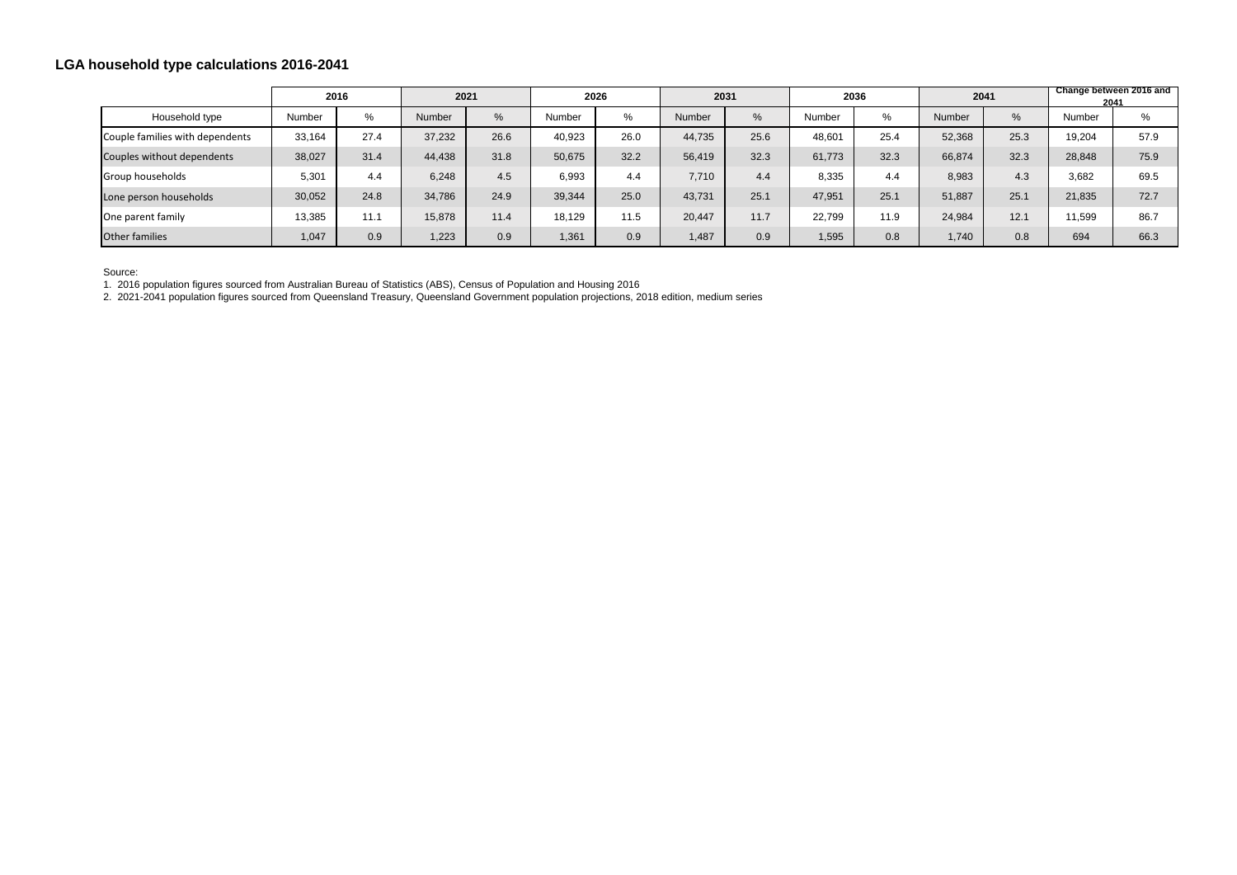## **LGA household type calculations 2016-2041**

|                                 | 2016   |      | 2021   |      | 2026   |      | 2031   |      | 2036   |      | 2041   |      | Change between 2016 and<br>2041 |      |
|---------------------------------|--------|------|--------|------|--------|------|--------|------|--------|------|--------|------|---------------------------------|------|
| Household type                  | Number | %    | Number | %    | Number | $\%$ | Number | %    | Number | $\%$ | Number | %    | Number                          | $\%$ |
| Couple families with dependents | 33,164 | 27.4 | 37,232 | 26.6 | 40,923 | 26.0 | 44,735 | 25.6 | 48,601 | 25.4 | 52,368 | 25.3 | 19,204                          | 57.9 |
| Couples without dependents      | 38,027 | 31.4 | 44,438 | 31.8 | 50,675 | 32.2 | 56,419 | 32.3 | 61,773 | 32.3 | 66,874 | 32.3 | 28,848                          | 75.9 |
| Group households                | 5,301  | 4.4  | 6,248  | 4.5  | 6,993  | 4.4  | 7,710  | 4.4  | 8,335  | 4.4  | 8,983  | 4.3  | 3,682                           | 69.5 |
| Lone person households          | 30,052 | 24.8 | 34,786 | 24.9 | 39,344 | 25.0 | 43,731 | 25.1 | 47,951 | 25.1 | 51,887 | 25.1 | 21,835                          | 72.7 |
| One parent family               | 13,385 | 11.1 | 15,878 | 11.4 | 18,129 | 11.5 | 20,447 | 11.7 | 22,799 | 11.9 | 24,984 | 12.1 | 11,599                          | 86.7 |
| Other families                  | 1,047  | 0.9  | 1,223  | 0.9  | 1,361  | 0.9  | 1,487  | 0.9  | 1,595  | 0.8  | 1,740  | 0.8  | 694                             | 66.3 |

Source:

1. 2016 population figures sourced from Australian Bureau of Statistics (ABS), Census of Population and Housing 2016

2. 2021-2041 population figures sourced from Queensland Treasury, Queensland Government population projections, 2018 edition, medium series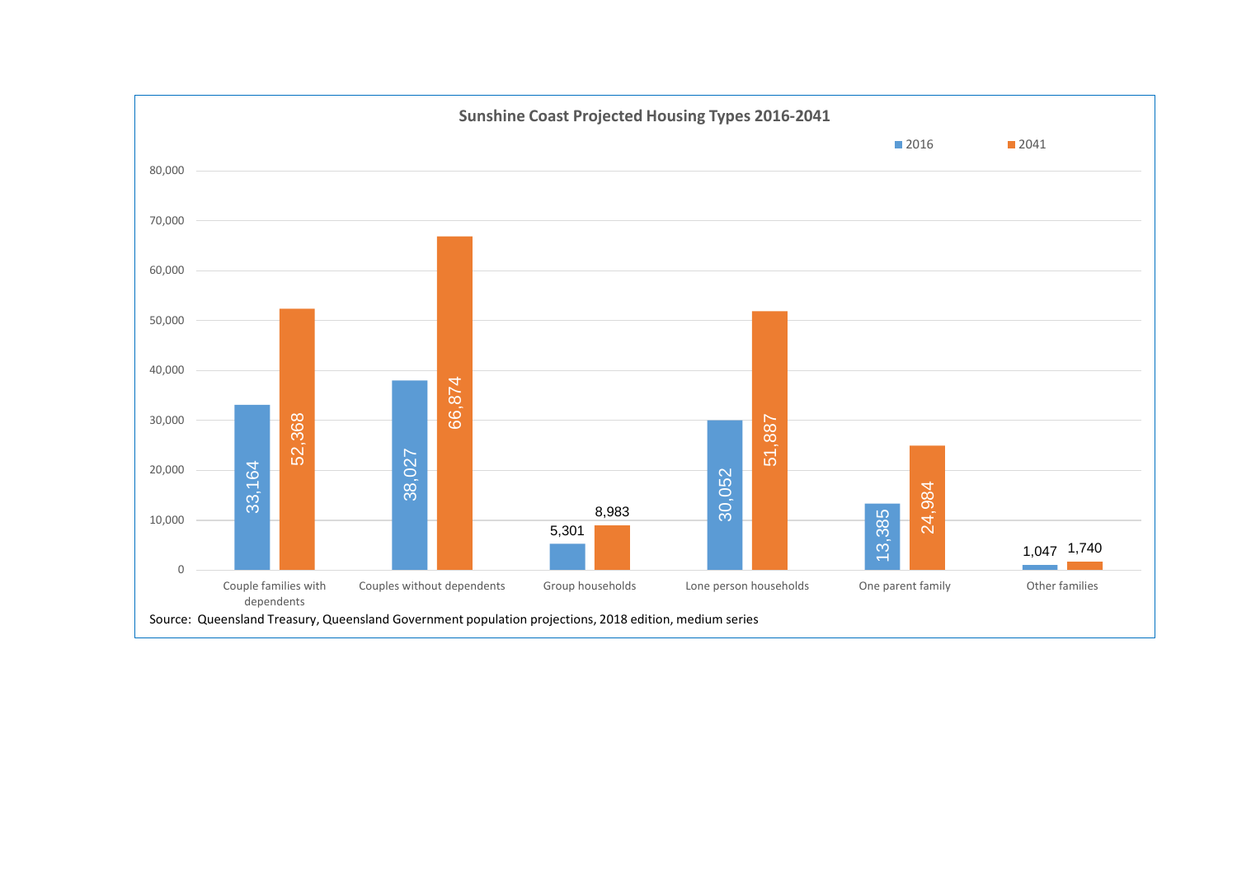